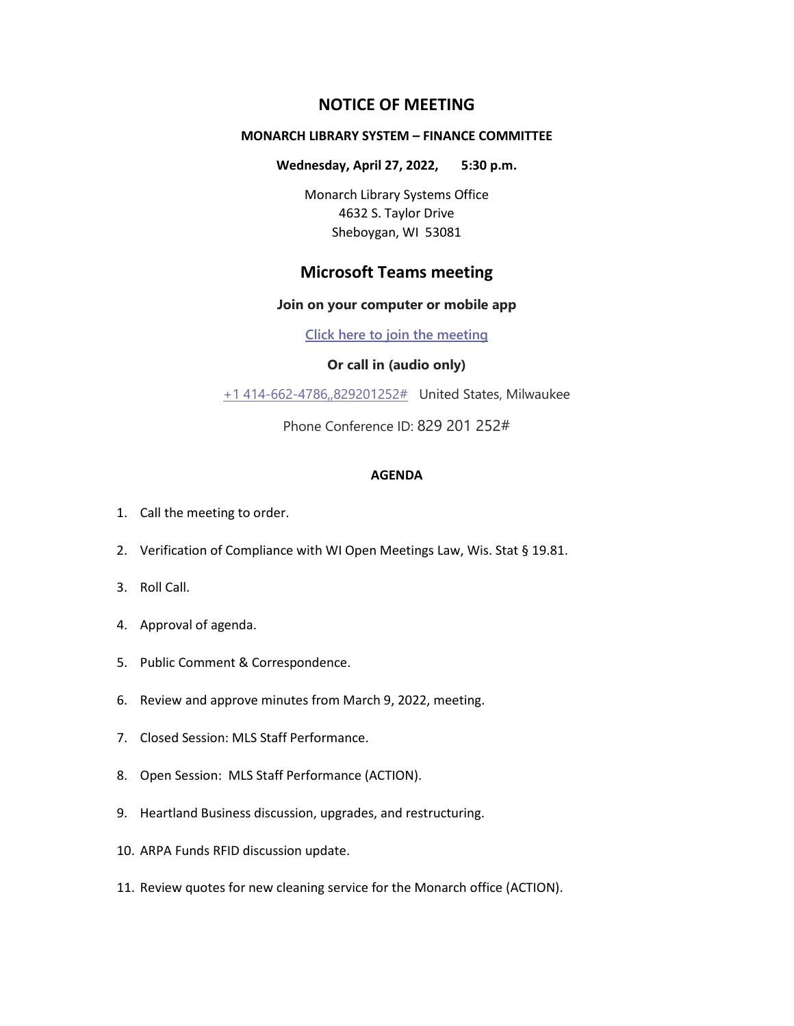# **NOTICE OF MEETING**

### **MONARCH LIBRARY SYSTEM – FINANCE COMMITTEE**

**Wednesday, April 27, 2022, 5:30 p.m.**

Monarch Library Systems Office 4632 S. Taylor Drive Sheboygan, WI 53081

# **Microsoft Teams meeting**

#### **Join on your computer or mobile app**

**[Click here to join the meeting](https://teams.microsoft.com/l/meetup-join/19%3ameeting_YzFjZDljNTQtYzk0Zi00NTM4LWE1N2MtYWU0YTg3MzAzY2Zl%40thread.v2/0?context=%7b%22Tid%22%3a%228bc9106c-7143-432b-a0d6-6b0c089349b2%22%2c%22Oid%22%3a%2282c09725-6428-4a58-9841-a9ffe11e3df4%22%7d)**

### **Or call in (audio only)**

[+1 414-662-4786,,829201252#](tel:+14146624786,,829201252#%20) United States, Milwaukee

Phone Conference ID: 829 201 252#

#### **AGENDA**

- 1. Call the meeting to order.
- 2. Verification of Compliance with WI Open Meetings Law, Wis. Stat § 19.81.
- 3. Roll Call.
- 4. Approval of agenda.
- 5. Public Comment & Correspondence.
- 6. Review and approve minutes from March 9, 2022, meeting.
- 7. Closed Session: MLS Staff Performance.
- 8. Open Session: MLS Staff Performance (ACTION).
- 9. Heartland Business discussion, upgrades, and restructuring.
- 10. ARPA Funds RFID discussion update.
- 11. Review quotes for new cleaning service for the Monarch office (ACTION).